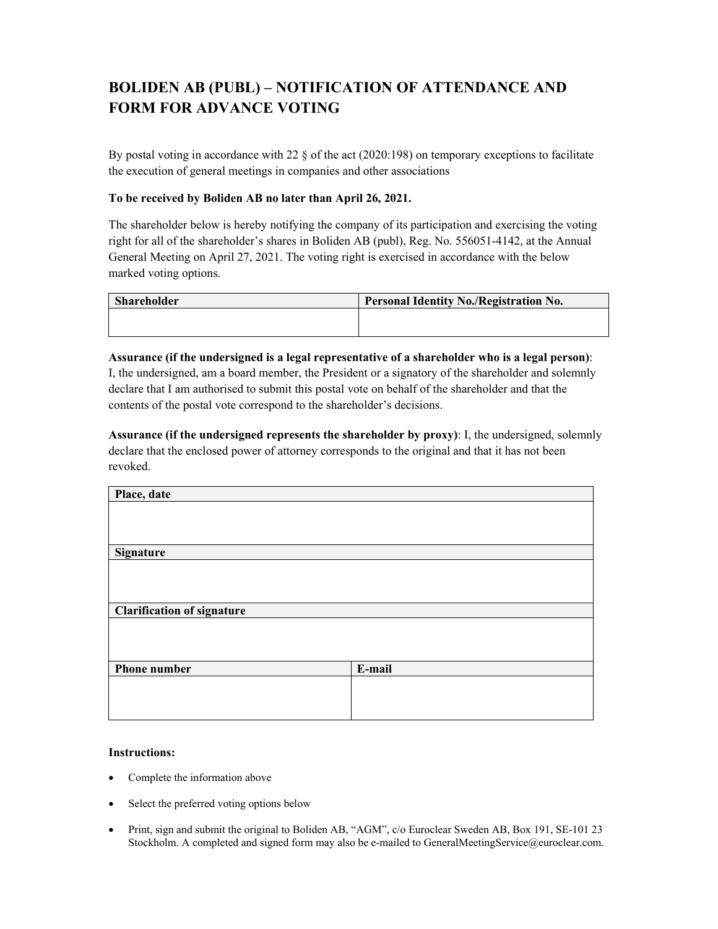## **BOLIDEN AB (PUBL) – NOTIFICATION OF ATTENDANCE AND FORM FOR ADVANCE VOTING**

By postal voting in accordance with 22 § of the act (2020:198) on temporary exceptions to facilitate the execution of general meetings in companies and other associations

## **To be received by Boliden AB no later than April 26, 2021.**

The shareholder below is hereby notifying the company of its participation and exercising the voting right for all of the shareholder's shares in Boliden AB (publ), Reg. No. 556051-4142, at the Annual General Meeting on April 27, 2021. The voting right is exercised in accordance with the below marked voting options.

| Shareholder | <b>Personal Identity No./Registration No.</b> |
|-------------|-----------------------------------------------|
|             |                                               |
|             |                                               |

**Assurance (if the undersigned is a legal representative of a shareholder who is a legal person)**: I, the undersigned, am a board member, the President or a signatory of the shareholder and solemnly declare that I am authorised to submit this postal vote on behalf of the shareholder and that the contents of the postal vote correspond to the shareholder's decisions.

**Assurance (if the undersigned represents the shareholder by proxy)**: I, the undersigned, solemnly declare that the enclosed power of attorney corresponds to the original and that it has not been revoked.

| Place, date                       |        |  |
|-----------------------------------|--------|--|
|                                   |        |  |
|                                   |        |  |
|                                   |        |  |
| <b>Signature</b>                  |        |  |
|                                   |        |  |
|                                   |        |  |
|                                   |        |  |
| <b>Clarification of signature</b> |        |  |
|                                   |        |  |
|                                   |        |  |
|                                   |        |  |
| <b>Phone number</b>               | E-mail |  |
|                                   |        |  |
|                                   |        |  |
|                                   |        |  |

## **Instructions:**

- Complete the information above
- Select the preferred voting options below
- Print, sign and submit the original to Boliden AB, "AGM", c/o Euroclear Sweden AB, Box 191, SE-101 23 Stockholm. A completed and signed form may also be e-mailed to GeneralMeetingService@euroclear.com.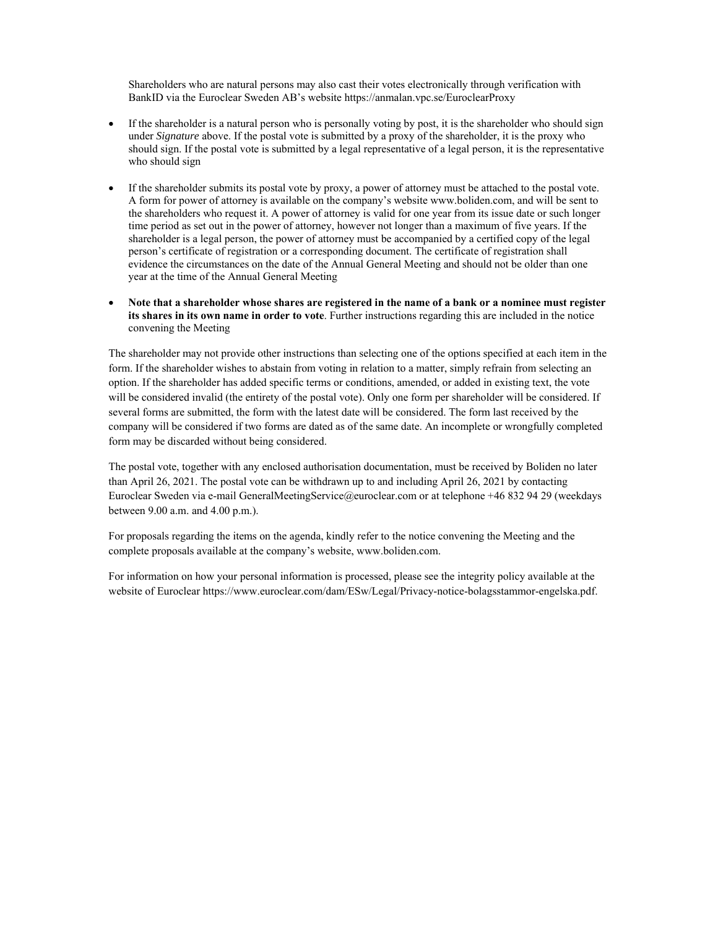Shareholders who are natural persons may also cast their votes electronically through verification with BankID via the Euroclear Sweden AB's website https://anmalan.vpc.se/EuroclearProxy

- If the shareholder is a natural person who is personally voting by post, it is the shareholder who should sign under *Signature* above. If the postal vote is submitted by a proxy of the shareholder, it is the proxy who should sign. If the postal vote is submitted by a legal representative of a legal person, it is the representative who should sign
- If the shareholder submits its postal vote by proxy, a power of attorney must be attached to the postal vote. A form for power of attorney is available on the company's website www.boliden.com, and will be sent to the shareholders who request it. A power of attorney is valid for one year from its issue date or such longer time period as set out in the power of attorney, however not longer than a maximum of five years. If the shareholder is a legal person, the power of attorney must be accompanied by a certified copy of the legal person's certificate of registration or a corresponding document. The certificate of registration shall evidence the circumstances on the date of the Annual General Meeting and should not be older than one year at the time of the Annual General Meeting
- **Note that a shareholder whose shares are registered in the name of a bank or a nominee must register its shares in its own name in order to vote**. Further instructions regarding this are included in the notice convening the Meeting

The shareholder may not provide other instructions than selecting one of the options specified at each item in the form. If the shareholder wishes to abstain from voting in relation to a matter, simply refrain from selecting an option. If the shareholder has added specific terms or conditions, amended, or added in existing text, the vote will be considered invalid (the entirety of the postal vote). Only one form per shareholder will be considered. If several forms are submitted, the form with the latest date will be considered. The form last received by the company will be considered if two forms are dated as of the same date. An incomplete or wrongfully completed form may be discarded without being considered.

The postal vote, together with any enclosed authorisation documentation, must be received by Boliden no later than April 26, 2021. The postal vote can be withdrawn up to and including April 26, 2021 by contacting Euroclear Sweden via e-mail GeneralMeetingService@euroclear.com or at telephone +46 832 94 29 (weekdays between 9.00 a.m. and 4.00 p.m.).

For proposals regarding the items on the agenda, kindly refer to the notice convening the Meeting and the complete proposals available at the company's website, www.boliden.com.

For information on how your personal information is processed, please see the integrity policy available at the website of Euroclear https://www.euroclear.com/dam/ESw/Legal/Privacy-notice-bolagsstammor-engelska.pdf.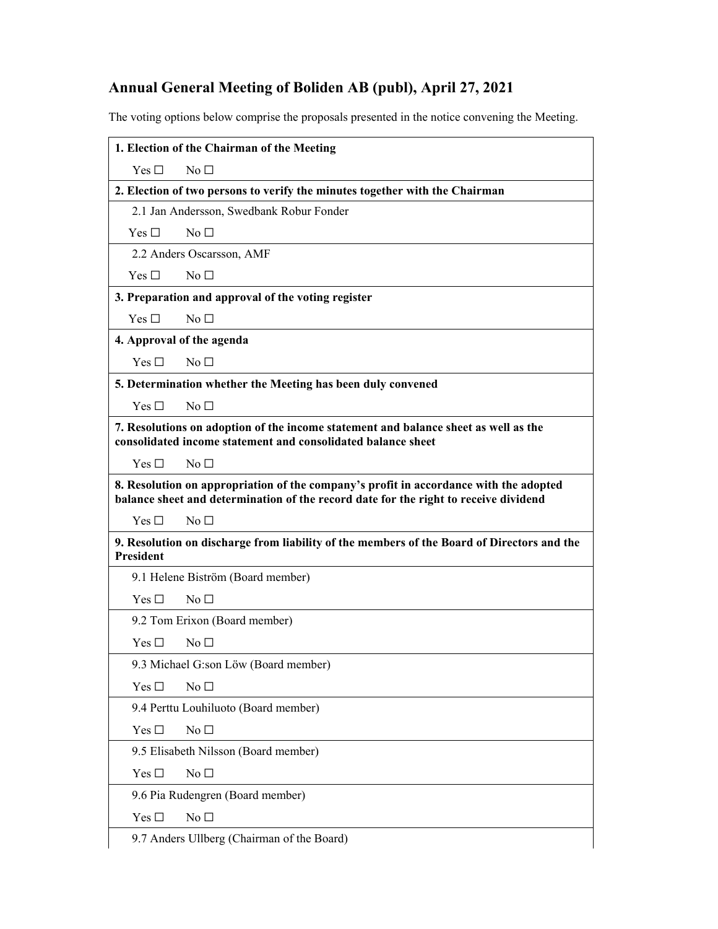## **Annual General Meeting of Boliden AB (publ), April 27, 2021**

The voting options below comprise the proposals presented in the notice convening the Meeting.

| 1. Election of the Chairman of the Meeting                                                                                                                                    |                                                                                            |  |  |  |
|-------------------------------------------------------------------------------------------------------------------------------------------------------------------------------|--------------------------------------------------------------------------------------------|--|--|--|
| Yes $\Box$                                                                                                                                                                    | No <sub>1</sub>                                                                            |  |  |  |
|                                                                                                                                                                               | 2. Election of two persons to verify the minutes together with the Chairman                |  |  |  |
|                                                                                                                                                                               | 2.1 Jan Andersson, Swedbank Robur Fonder                                                   |  |  |  |
| Yes $\square$                                                                                                                                                                 | No <sub>1</sub>                                                                            |  |  |  |
| 2.2 Anders Oscarsson, AMF                                                                                                                                                     |                                                                                            |  |  |  |
| Yes $\Box$                                                                                                                                                                    | No <sub>1</sub>                                                                            |  |  |  |
|                                                                                                                                                                               | 3. Preparation and approval of the voting register                                         |  |  |  |
| Yes $\Box$                                                                                                                                                                    | No <sub>1</sub>                                                                            |  |  |  |
| 4. Approval of the agenda                                                                                                                                                     |                                                                                            |  |  |  |
| Yes $\Box$                                                                                                                                                                    | No <sub>1</sub>                                                                            |  |  |  |
| 5. Determination whether the Meeting has been duly convened                                                                                                                   |                                                                                            |  |  |  |
| Yes $\Box$                                                                                                                                                                    | No <sub>1</sub>                                                                            |  |  |  |
| 7. Resolutions on adoption of the income statement and balance sheet as well as the<br>consolidated income statement and consolidated balance sheet                           |                                                                                            |  |  |  |
| Yes $\Box$                                                                                                                                                                    | No <sub>1</sub>                                                                            |  |  |  |
| 8. Resolution on appropriation of the company's profit in accordance with the adopted<br>balance sheet and determination of the record date for the right to receive dividend |                                                                                            |  |  |  |
| Yes $\Box$                                                                                                                                                                    | No <sub>1</sub>                                                                            |  |  |  |
| <b>President</b>                                                                                                                                                              | 9. Resolution on discharge from liability of the members of the Board of Directors and the |  |  |  |
|                                                                                                                                                                               | 9.1 Helene Biström (Board member)                                                          |  |  |  |
| Yes $\Box$                                                                                                                                                                    | No <sub>1</sub>                                                                            |  |  |  |
|                                                                                                                                                                               | 9.2 Tom Erixon (Board member)                                                              |  |  |  |
| Yes $\Box$                                                                                                                                                                    | $No\square$                                                                                |  |  |  |
|                                                                                                                                                                               | 9.3 Michael G:son Löw (Board member)                                                       |  |  |  |
| Yes $\square$                                                                                                                                                                 | No $\square$                                                                               |  |  |  |
| 9.4 Perttu Louhiluoto (Board member)                                                                                                                                          |                                                                                            |  |  |  |
| Yes $\square$                                                                                                                                                                 | No $\square$                                                                               |  |  |  |
|                                                                                                                                                                               | 9.5 Elisabeth Nilsson (Board member)                                                       |  |  |  |
| Yes $\square$                                                                                                                                                                 | No $\square$                                                                               |  |  |  |
| 9.6 Pia Rudengren (Board member)                                                                                                                                              |                                                                                            |  |  |  |
| Yes $\square$                                                                                                                                                                 | No $\Box$                                                                                  |  |  |  |
|                                                                                                                                                                               | 9.7 Anders Ullberg (Chairman of the Board)                                                 |  |  |  |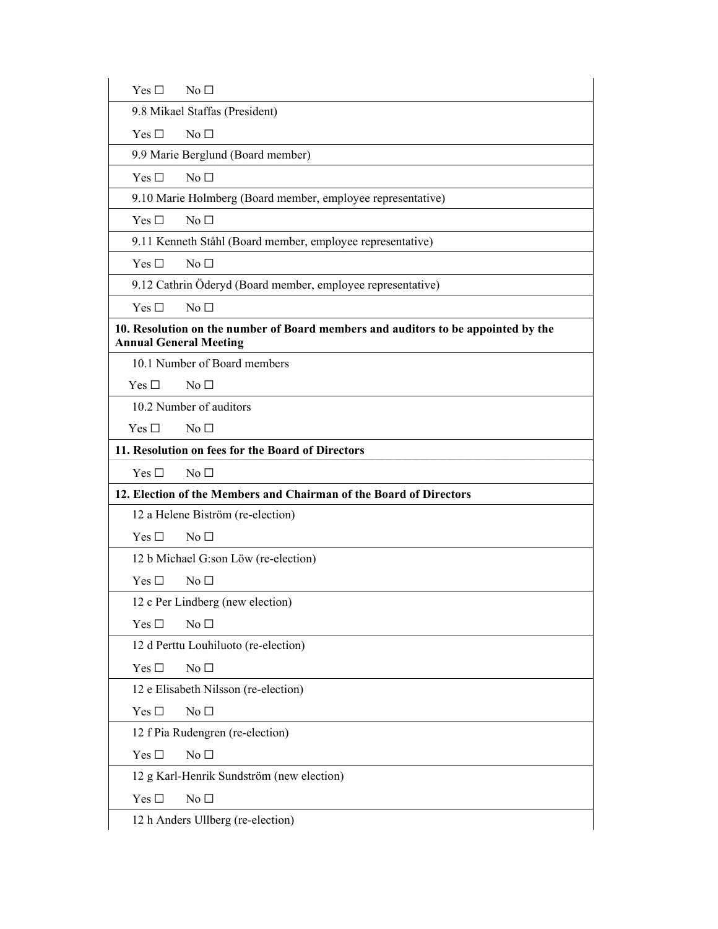| Yes $\Box$                    | $N_0 \Box$                                                                        |
|-------------------------------|-----------------------------------------------------------------------------------|
|                               | 9.8 Mikael Staffas (President)                                                    |
| Yes $\Box$                    | No <sub>1</sub>                                                                   |
|                               | 9.9 Marie Berglund (Board member)                                                 |
| Yes $\Box$                    | No <sub>1</sub>                                                                   |
|                               | 9.10 Marie Holmberg (Board member, employee representative)                       |
| Yes $\Box$                    | No <sub>1</sub>                                                                   |
|                               | 9.11 Kenneth Ståhl (Board member, employee representative)                        |
| Yes $\Box$                    | No <sub>1</sub>                                                                   |
|                               | 9.12 Cathrin Öderyd (Board member, employee representative)                       |
| Yes $\Box$                    | No <sub>1</sub>                                                                   |
| <b>Annual General Meeting</b> | 10. Resolution on the number of Board members and auditors to be appointed by the |
|                               | 10.1 Number of Board members                                                      |
| Yes $\Box$                    | No <sub>1</sub>                                                                   |
|                               | 10.2 Number of auditors                                                           |
| Yes $\Box$                    | No <sub>1</sub>                                                                   |
|                               | 11. Resolution on fees for the Board of Directors                                 |
| Yes $\Box$                    | No <sub>1</sub>                                                                   |
|                               | 12. Election of the Members and Chairman of the Board of Directors                |
|                               | 12 a Helene Biström (re-election)                                                 |
| Yes $\Box$                    | No <sub>1</sub>                                                                   |
|                               | 12 b Michael G:son Löw (re-election)                                              |
| Yes $\Box$                    | No <sub>1</sub>                                                                   |
|                               | 12 c Per Lindberg (new election)                                                  |
| Yes $\square$                 | No <sub>1</sub>                                                                   |
|                               | 12 d Perttu Louhiluoto (re-election)                                              |
| Yes $\Box$                    | No $\Box$                                                                         |
|                               | 12 e Elisabeth Nilsson (re-election)                                              |
| Yes $\square$                 | No $\Box$                                                                         |
|                               | 12 f Pia Rudengren (re-election)                                                  |
| Yes $\square$                 | No $\Box$                                                                         |
|                               | 12 g Karl-Henrik Sundström (new election)                                         |
| Yes $\square$                 | No $\Box$                                                                         |
|                               | 12 h Anders Ullberg (re-election)                                                 |